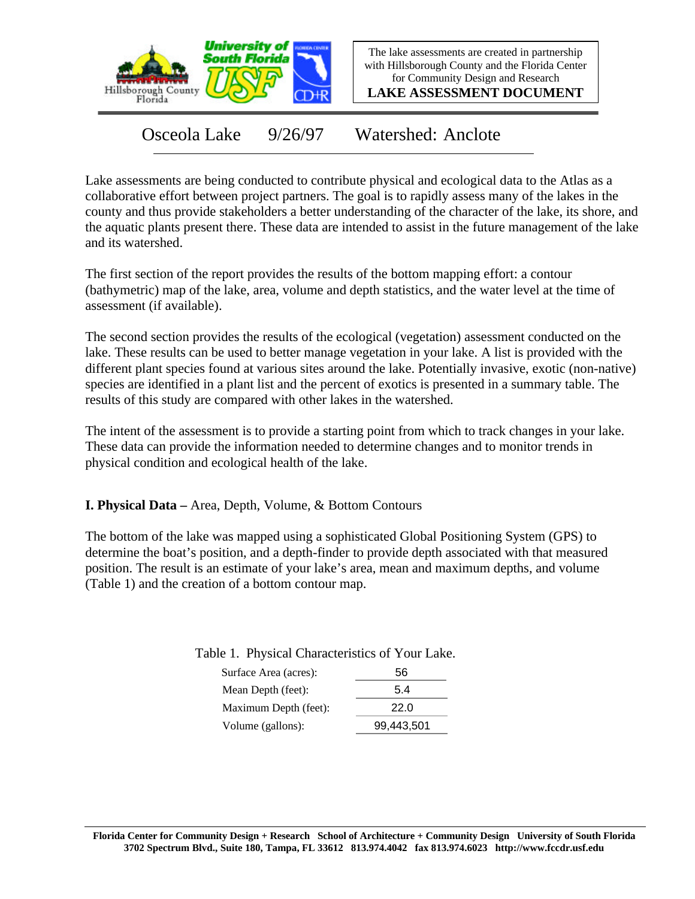

The lake assessments are created in partnership with Hillsborough County and the Florida Center for Community Design and Research

**LAKE ASSESSMENT DOCUMENT**

Osceola Lake 9/26/97 Watershed: Anclote

Lake assessments are being conducted to contribute physical and ecological data to the Atlas as a collaborative effort between project partners. The goal is to rapidly assess many of the lakes in the county and thus provide stakeholders a better understanding of the character of the lake, its shore, and the aquatic plants present there. These data are intended to assist in the future management of the lake and its watershed.

The first section of the report provides the results of the bottom mapping effort: a contour (bathymetric) map of the lake, area, volume and depth statistics, and the water level at the time of assessment (if available).

The second section provides the results of the ecological (vegetation) assessment conducted on the lake. These results can be used to better manage vegetation in your lake. A list is provided with the different plant species found at various sites around the lake. Potentially invasive, exotic (non-native) species are identified in a plant list and the percent of exotics is presented in a summary table. The results of this study are compared with other lakes in the watershed.

The intent of the assessment is to provide a starting point from which to track changes in your lake. These data can provide the information needed to determine changes and to monitor trends in physical condition and ecological health of the lake.

**I. Physical Data –** Area, Depth, Volume, & Bottom Contours

The bottom of the lake was mapped using a sophisticated Global Positioning System (GPS) to determine the boat's position, and a depth-finder to provide depth associated with that measured position. The result is an estimate of your lake's area, mean and maximum depths, and volume (Table 1) and the creation of a bottom contour map.

Table 1. Physical Characteristics of Your Lake.

| Surface Area (acres): | 56         |
|-----------------------|------------|
| Mean Depth (feet):    | 5.4        |
| Maximum Depth (feet): | 22.0       |
| Volume (gallons):     | 99,443,501 |
|                       |            |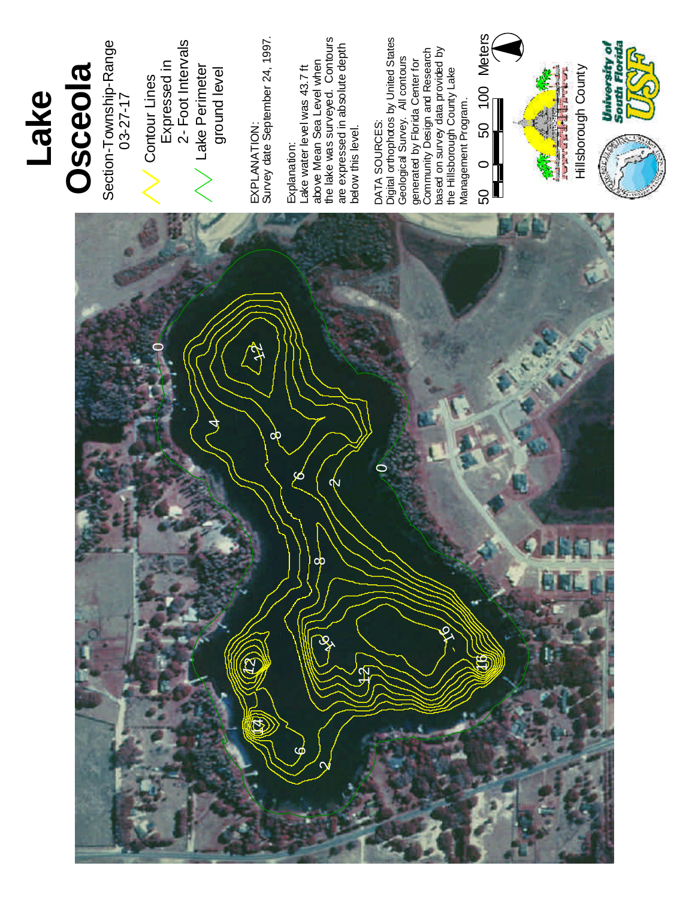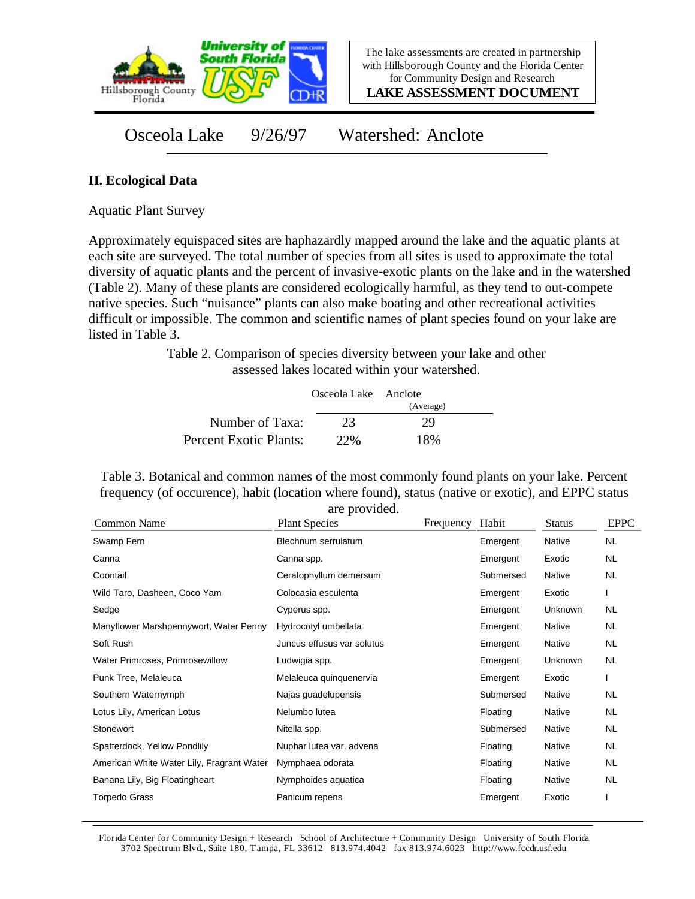

The lake assessments are created in partnership with Hillsborough County and the Florida Center for Community Design and Research

**LAKE ASSESSMENT DOCUMENT**

Osceola Lake 9/26/97 Watershed: Anclote

## **II. Ecological Data**

Aquatic Plant Survey

Approximately equispaced sites are haphazardly mapped around the lake and the aquatic plants at each site are surveyed. The total number of species from all sites is used to approximate the total diversity of aquatic plants and the percent of invasive-exotic plants on the lake and in the watershed (Table 2). Many of these plants are considered ecologically harmful, as they tend to out-compete native species. Such "nuisance" plants can also make boating and other recreational activities difficult or impossible. The common and scientific names of plant species found on your lake are listed in Table 3.

> Table 2. Comparison of species diversity between your lake and other assessed lakes located within your watershed.

|                        | Osceola Lake Anclote |           |  |
|------------------------|----------------------|-----------|--|
|                        |                      | (Average) |  |
| Number of Taxa:        | 23                   | 29        |  |
| Percent Exotic Plants: | 22%                  | 18%       |  |

Table 3. Botanical and common names of the most commonly found plants on your lake. Percent frequency (of occurence), habit (location where found), status (native or exotic), and EPPC status

| Common Name                               | are provided.<br><b>Plant Species</b> | Frequency | Habit     | <b>Status</b> | <b>EPPC</b> |
|-------------------------------------------|---------------------------------------|-----------|-----------|---------------|-------------|
| Swamp Fern                                | Blechnum serrulatum                   |           | Emergent  | Native        | <b>NL</b>   |
| Canna                                     | Canna spp.                            |           | Emergent  | Exotic        | NL.         |
| Coontail                                  | Ceratophyllum demersum                |           | Submersed | Native        | <b>NL</b>   |
| Wild Taro, Dasheen, Coco Yam              | Colocasia esculenta                   |           | Emergent  | Exotic        |             |
| Sedge                                     | Cyperus spp.                          |           | Emergent  | Unknown       | NL.         |
| Manyflower Marshpennywort, Water Penny    | Hydrocotyl umbellata                  |           | Emergent  | Native        | NL          |
| Soft Rush                                 | Juncus effusus var solutus            |           | Emergent  | Native        | NL          |
| Water Primroses, Primrosewillow           | Ludwigia spp.                         |           | Emergent  | Unknown       | NL.         |
| Punk Tree, Melaleuca                      | Melaleuca quinquenervia               |           | Emergent  | Exotic        |             |
| Southern Waternymph                       | Najas guadelupensis                   |           | Submersed | Native        | NL.         |
| Lotus Lily, American Lotus                | Nelumbo lutea                         |           | Floating  | Native        | NL.         |
| Stonewort                                 | Nitella spp.                          |           | Submersed | Native        | NL          |
| Spatterdock, Yellow Pondlily              | Nuphar lutea var. advena              |           | Floating  | Native        | <b>NL</b>   |
| American White Water Lily, Fragrant Water | Nymphaea odorata                      |           | Floating  | Native        | <b>NL</b>   |
| Banana Lily, Big Floatingheart            | Nymphoides aquatica                   |           | Floating  | Native        | <b>NL</b>   |
| Torpedo Grass                             | Panicum repens                        |           | Emergent  | Exotic        |             |

are provided.

Florida Center for Community Design + Research School of Architecture + Community Design University of South Florida 3702 Spectrum Blvd., Suite 180, Tampa, FL 33612 813.974.4042 fax 813.974.6023 http://www.fccdr.usf.edu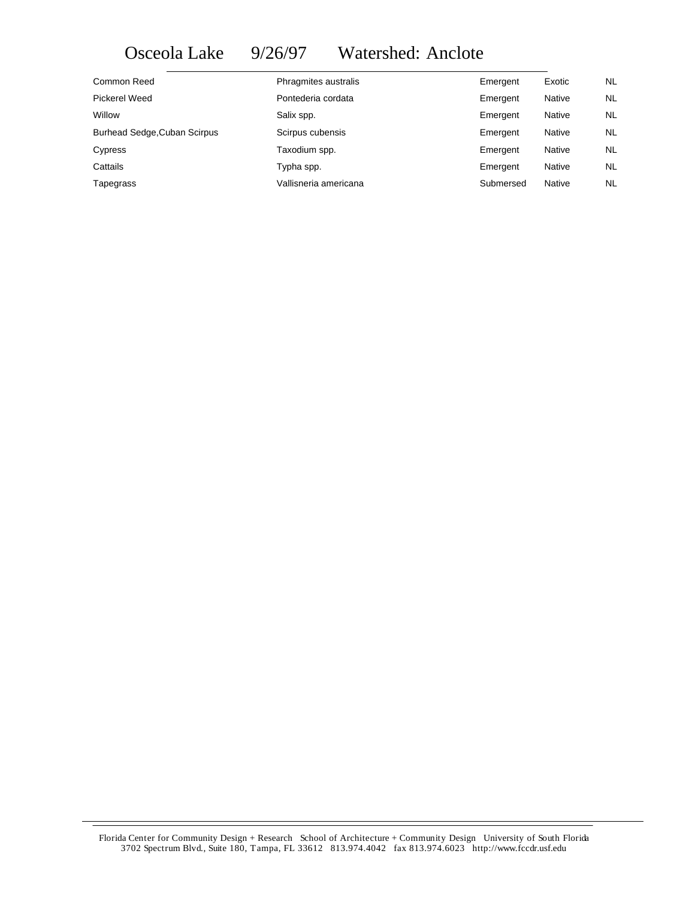## Osceola Lake 9/26/97 Watershed: Anclote

| Common Reed                         | Phragmites australis  | Emergent  | Exotic        | <b>NL</b> |
|-------------------------------------|-----------------------|-----------|---------------|-----------|
| Pickerel Weed                       | Pontederia cordata    | Emergent  | Native        | NL.       |
| Willow                              | Salix spp.            | Emergent  | <b>Native</b> | NL.       |
| <b>Burhead Sedge, Cuban Scirpus</b> | Scirpus cubensis      | Emergent  | Native        | NL.       |
| Cypress                             | Taxodium spp.         | Emergent  | Native        | NL.       |
| Cattails                            | Typha spp.            | Emergent  | Native        | NL.       |
| Tapegrass                           | Vallisneria americana | Submersed | Native        | <b>NL</b> |